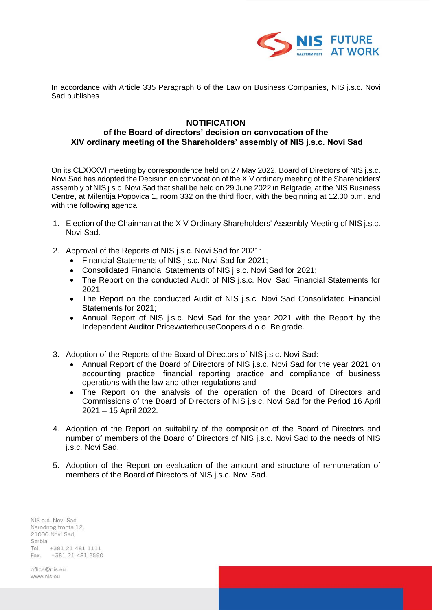

In accordance with Article 335 Paragraph 6 of the Law on Business Companies, NIS j.s.c. Novi Sad publishes

## **NOTIFICATION**

## **of the Board of directors' decision on convocation of the XIV ordinary meeting of the Shareholders' assembly of NIS j.s.c. Novi Sad**

On its CLXXXVI meeting by correspondence held on 27 May 2022, Board of Directors of NIS j.s.c. Novi Sad has adopted the Decision on convocation of the XIV ordinary meeting of the Shareholders' assembly of NIS j.s.c. Novi Sad that shall be held on 29 June 2022 in Belgrade, at the NIS Business Centre, at Milentija Popovica 1, room 332 on the third floor, with the beginning at 12.00 p.m. and with the following agenda:

- 1. Election of the Chairman at the XIV Ordinary Shareholders' Assembly Meeting of NIS j.s.c. Novi Sad.
- 2. Approval of the Reports of NIS j.s.c. Novi Sad for 2021:
	- Financial Statements of NIS j.s.c. Novi Sad for 2021;
	- Consolidated Financial Statements of NIS j.s.c. Novi Sad for 2021;
	- The Report on the conducted Audit of NIS j.s.c. Novi Sad Financial Statements for 2021;
	- The Report on the conducted Audit of NIS j.s.c. Novi Sad Consolidated Financial Statements for 2021;
	- Annual Report of NIS j.s.c. Novi Sad for the year 2021 with the Report by the Independent Auditor PricewaterhouseCoopers d.о.о. Belgrade.
- 3. Adoption of the Reports of the Board of Directors of NIS j.s.c. Novi Sad:
	- Annual Report of the Board of Directors of NIS *i.s.c.* Novi Sad for the year 2021 on accounting practice, financial reporting practice and compliance of business operations with the law and other regulations and
	- The Report on the analysis of the operation of the Board of Directors and Commissions of the Board of Directors of NIS j.s.c. Novi Sad for the Period 16 April 2021 – 15 April 2022.
- 4. Adoption of the Report on suitability of the composition of the Board of Directors and number of members of the Board of Directors of NIS j.s.c. Novi Sad to the needs of NIS j.s.c. Novi Sad.
- 5. Adoption of the Report on evaluation of the amount and structure of remuneration of members of the Board of Directors of NIS j.s.c. Novi Sad.

NIS a.d. Novi Sad Narodnog fronta 12, 21000 Novi Sad, Serbia Tel. +381 21 481 1111 Fax. +381 21 481 2590

office@nis.eu www.nis.eu